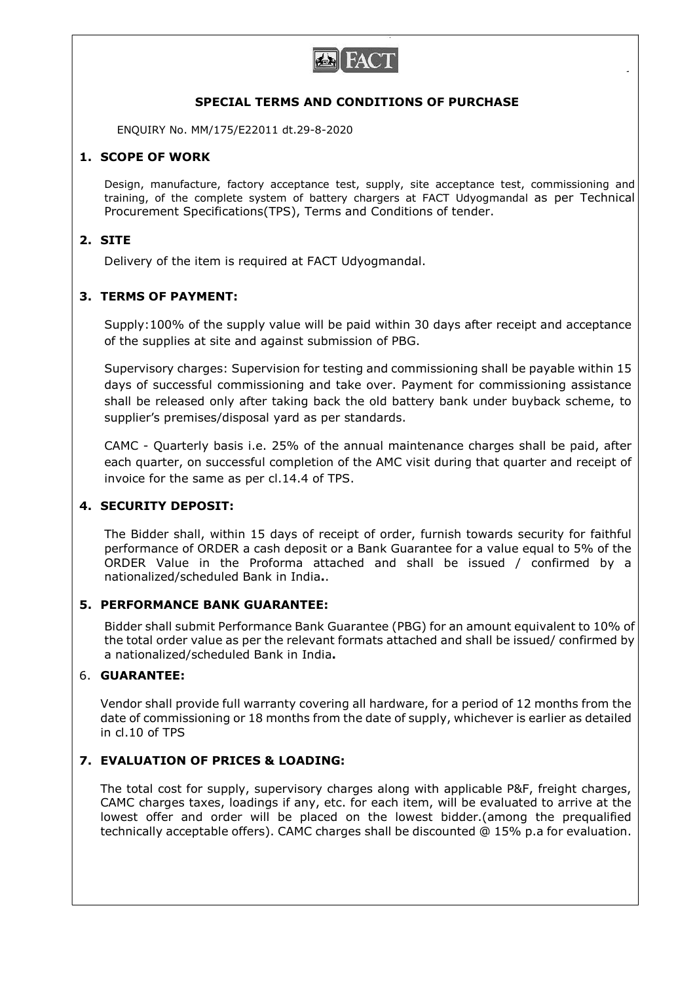

### SPECIAL TERMS AND CONDITIONS OF PURCHASE

ENQUIRY No. MM/175/E22011 dt.29-8-2020

## 1. SCOPE OF WORK

Design, manufacture, factory acceptance test, supply, site acceptance test, commissioning and training, of the complete system of battery chargers at FACT Udyogmandal as per Technical Procurement Specifications(TPS), Terms and Conditions of tender.

### 2. SITE

Delivery of the item is required at FACT Udyogmandal.

## 3. TERMS OF PAYMENT:

Supply:100% of the supply value will be paid within 30 days after receipt and acceptance of the supplies at site and against submission of PBG.

Supervisory charges: Supervision for testing and commissioning shall be payable within 15 days of successful commissioning and take over. Payment for commissioning assistance shall be released only after taking back the old battery bank under buyback scheme, to supplier's premises/disposal yard as per standards.

CAMC - Quarterly basis i.e. 25% of the annual maintenance charges shall be paid, after each quarter, on successful completion of the AMC visit during that quarter and receipt of invoice for the same as per cl.14.4 of TPS.

# 4. SECURITY DEPOSIT:

The Bidder shall, within 15 days of receipt of order, furnish towards security for faithful performance of ORDER a cash deposit or a Bank Guarantee for a value equal to 5% of the ORDER Value in the Proforma attached and shall be issued / confirmed by a nationalized/scheduled Bank in India..

# 5. PERFORMANCE BANK GUARANTEE:

Bidder shall submit Performance Bank Guarantee (PBG) for an amount equivalent to 10% of the total order value as per the relevant formats attached and shall be issued/ confirmed by a nationalized/scheduled Bank in India.

### 6. GUARANTEE:

Vendor shall provide full warranty covering all hardware, for a period of 12 months from the date of commissioning or 18 months from the date of supply, whichever is earlier as detailed in cl.10 of TPS

# 7. EVALUATION OF PRICES & LOADING:

The total cost for supply, supervisory charges along with applicable P&F, freight charges, CAMC charges taxes, loadings if any, etc. for each item, will be evaluated to arrive at the lowest offer and order will be placed on the lowest bidder.(among the prequalified technically acceptable offers). CAMC charges shall be discounted @ 15% p.a for evaluation.